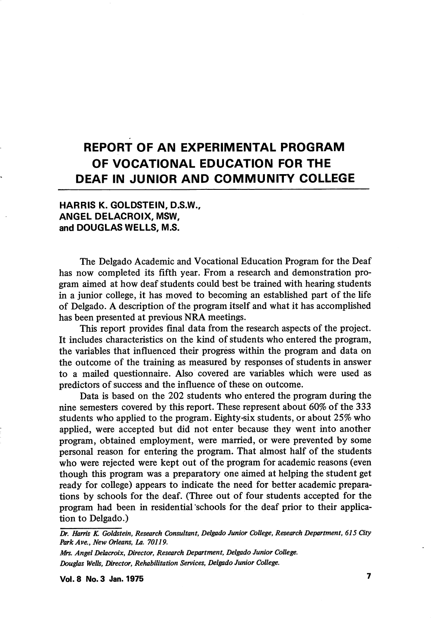# REPORT OF AN EXPERIMENTAL PROGRAM OF VOCATIONAL EDUCATION FOR THE DEAF IN JUNIOR AND COMMUNITY COLLEGE

# HARRIS K. GOLDSTEIN, D.S.W., ANGEL DELACROIX, MSW, and DOUGLAS WELLS, M.S.

The Delgado Academic and Vocational Education Program for the Deaf has now completed its fifth year. From a research and demonstration pro gram aimed at how deaf students could best be trained with hearing students in a junior college, it has moved to becoming an established part of the life of Delgado. A description of the program itself and what it has accomplished has been presented at previous NRA meetings.

This report provides final data from the research aspects of the project. It includes characteristics on the kind of students who entered the program, the variables that influenced their progress within the program and data on the outcome of the training as measured by responses of students in answer to a mailed questionnaire. Also covered are variables which were used as predictors of success and the influence of these on outcome.

Data is based on the 202 students who entered the program during the nine semesters covered by this report. These represent about 60% of the 333 students who apphed to the program. Eighty-six students, or about 25% who applied, were accepted but did not enter because they went into another program, obtained employment, were married, or were prevented by some personal reason for entering the program. That almost half of the students who were rejected were kept out of the program for academic reasons (even though this program was a preparatory one aimed at helping the student get ready for college) appears to indicate the need for better academic prepara tions by schools for the deaf. (Three out of four students accepted for the program had been in residential "schools for the deaf prior to their applica tion to Delgado.)

Dr, Harris K. Goldstein, Research Consultant, Delgado Junior College, Research Department, 615 City ParkAve., New Orleans, La. 70119.

Mrs. Angel Delacroix, Director, Research Department, Delgado Junior College. Dougfas Wells, Director, Rehabilitation Services, Delgado Junior College.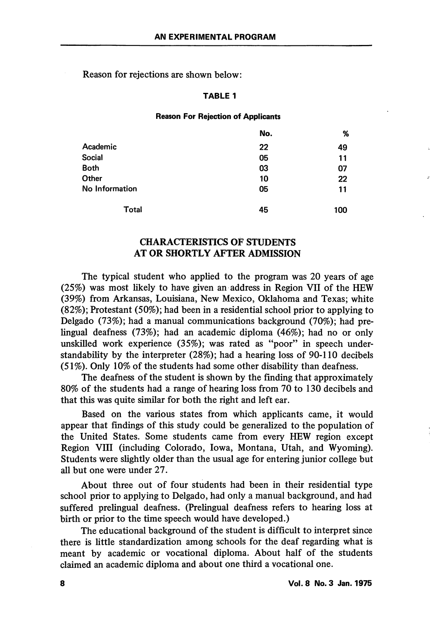Reason for rejections are shown below:

#### TABLE 1

#### Reason For Rejection of Applicants

|                | No. | %   |
|----------------|-----|-----|
| Academic       | 22  | 49  |
| <b>Social</b>  | 05  | 11  |
| <b>Both</b>    | 03  | 07  |
| Other          | 10  | 22  |
| No Information | 05  | 11  |
| Total          | 45  | 100 |

# CHARACTERISTICS OF STUDENTS AT OR SHORTLY AFTER ADMISSION

The typical student who applied to the program was 20 years of age (25%) was most likely to have given an address in Region VII of the HEW (39%) from Arkansas, Louisiana, New Mexico, Oklahoma and Texas; white (82%); Protestant (50%); had been in a residential school prior to applying to Delgado (73%); had a manual communications background (70%); had prelingual deafness (73%); had an academic diploma (46%); had no or only unskilled work experience  $(35\%)$ ; was rated as "poor" in speech understandability by the interpreter (28%); had a hearing loss of 90-110 decibels (51%). Only 10% of the students had some other disability than deafness.

The deafness of the student is shown by the finding that approximately 80% of the students had a range of hearing loss from 70 to 130 decibels and that this was quite similar for both the right and left ear.

Based on the various states from which applicants came, it would appear that findings of this study could be generalized to the population of the United States. Some students came from every HEW region except Region VIII (including Colorado, Iowa, Montana, Utah, and Wyoming). Students were slightly older than the usual age for entering junior college but all but one were under 27.

About three out of four students had been in their residential type school prior to applying to Delgado, had only a manual background, and had suffered prelingual deafness. (Prelingual deafness refers to hearing loss at birth or prior to the time speech would have developed.)

The educational background of the student is difficult to interpret since there is little standardization among schools for the deaf regarding what is meant by academic or vocational diploma. About half of the students claimed an academic diploma and about one third a vocational one.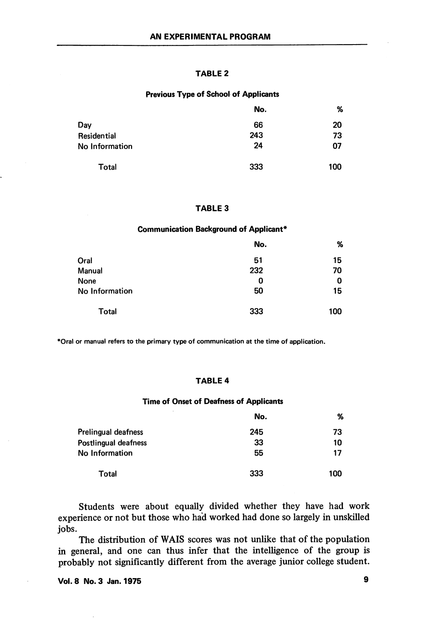#### TABLE 2

#### Previous Type of School of Applicants

|                | No. | %   |
|----------------|-----|-----|
| Day            | 66  | 20  |
| Residential    | 243 | 73  |
| No Information | 24  | 07  |
| Total          | 333 | 100 |

#### TABLE 3

#### Communication Background of Applicant\*

|                | No. | %   |
|----------------|-----|-----|
| Oral           | 51  | 15  |
| Manual         | 232 | 70  |
| None           | 0   | 0   |
| No Information | 50  | 15  |
| Total          | 333 | 100 |

\*Oral or manual refers to the primary type of communication at the time of application.

#### TABLE 4

#### Time of Onset of Deafness of Applicants

|                      | No. | %   |
|----------------------|-----|-----|
| Prelingual deafness  | 245 | 73  |
| Postlingual deafness | 33  | 10  |
| No Information       | 55  | 17  |
| Total                | 333 | 100 |

Students were about equally divided whether they have had work experience or not but those who had worked had done so largely in unskilled jobs.

The distribution of WAIS scores was not unlike that of the population in general, and one can thus infer that the intelligence of the group is probably not significantly different from the average junior college student.

Vol. 8 No. 3 Jan. 1975 9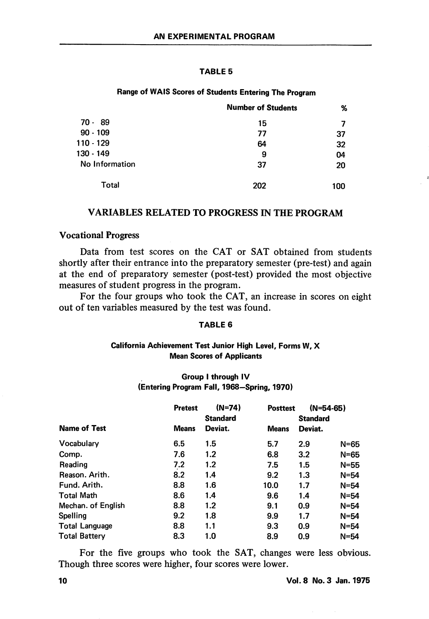#### TABLE 5

## Range of WAIS Scores of Students Entering The Program

|                | <b>Number of Students</b> | %   |
|----------------|---------------------------|-----|
| 70 - 89        | 15                        |     |
| $90 - 109$     | 77                        | 37  |
| 110 - 129      | 64                        | 32  |
| 130 - 149      | 9                         | 04  |
| No Information | 37                        | 20  |
| Total          | 202                       | 100 |

## VARIABLES RELATED TO PROGRESS IN THE PROGRAM

#### Vocational Progress

Data from test scores on the CAT or SAT obtained from students shortly after their entrance into the preparatory semester (pre-test) and again at the end of preparatory semester (post-test) provided the most objective measures of student progress in the program.

For the four groups who took the CAT, an increase in scores on eight out of ten variables measured by the test was found.

## TABLE 6

## California Achievement Test Junior High Level, Forms W, X Mean Scores of Applicants

# Group I through IV (Entering Program Fall, 1968—Spring, 1970)

|                       | <b>Pretest</b> | $(N=74)$<br><b>Standard</b> | <b>Posttest</b> | $(N=54-65)$<br><b>Standard</b> |          |
|-----------------------|----------------|-----------------------------|-----------------|--------------------------------|----------|
| <b>Name of Test</b>   | <b>Means</b>   | Deviat.                     | <b>Means</b>    | Deviat.                        |          |
| Vocabulary            | 6.5            | 1.5                         | 5.7             | 2.9                            | $N = 65$ |
| Comp.                 | 7.6            | 1.2                         | 6.8             | 3.2                            | $N = 65$ |
| Reading               | 7.2            | 1.2                         | 7.5             | 1.5                            | $N=55$   |
| Reason, Arith.        | 8.2            | 1.4                         | 9.2             | 1.3                            | $N=54$   |
| Fund. Arith.          | 8.8            | 1.6                         | 10.0            | 1.7                            | $N = 54$ |
| <b>Total Math</b>     | 8.6            | 1.4                         | 9.6             | 1.4                            | $N = 54$ |
| Mechan. of English    | 8.8            | 1.2                         | 9.1             | 0.9                            | $N=54$   |
| Spelling              | 9.2            | 1.8                         | 9.9             | 1.7                            | $N = 54$ |
| <b>Total Language</b> | 8.8            | 1.1                         | 9.3             | 0.9                            | $N = 54$ |
| <b>Total Battery</b>  | 8.3            | 1.0                         | 8.9             | 0.9                            | $N = 54$ |

For the five groups who took the SAT, changes were less obvious. Though three scores were higher, four scores were lower.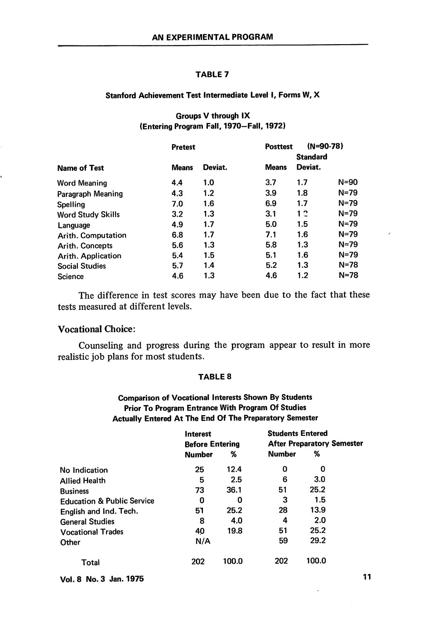#### TABLE 7

## Stanford Achievement Test Intermediate Level I, Forms W, X

# Groups V through IX (Entering Program Fall, 1970—Fall, 1972)

|                          | <b>Pretest</b> |         | <b>Posttest</b> | $(N=90-78)$<br><b>Standard</b> |          |
|--------------------------|----------------|---------|-----------------|--------------------------------|----------|
| <b>Name of Test</b>      | <b>Means</b>   | Deviat. | <b>Means</b>    | Deviat.                        |          |
| <b>Word Meaning</b>      | 4.4            | 1.0     | 3.7             | 1.7                            | N=90     |
| Paragraph Meaning        | 4.3            | 1.2     | 3.9             | 1.8                            | $N = 79$ |
| Spelling                 | 7.0            | 1.6     | 6.9             | 1.7                            | $N = 79$ |
| <b>Word Study Skills</b> | 3.2            | 1.3     | 3.1             | 12                             | $N = 79$ |
| Language                 | 4.9            | 1.7     | 5.0             | 1.5                            | $N = 79$ |
| Arith. Computation       | 6.8            | 1.7     | 7.1             | 1.6                            | $N = 79$ |
| <b>Arith. Concepts</b>   | 5.6            | 1.3     | 5.8             | 1.3                            | N=79     |
| Arith. Application       | 5.4            | 1.5     | 5.1             | 1.6                            | N=79     |
| <b>Social Studies</b>    | 5.7            | 1.4     | 5.2             | 1.3                            | $N = 78$ |
| Science                  | 4.6            | 1.3     | 4.6             | 1.2                            | N=78     |

The difference in test scores may have been due to the fact that these tests measured at different levels.

# Vocational Choice:

Counseling and progress during the program appear to result in more realistic job plans for most students.

## TABLE 8

# Comparison of Vocational Interests Shown By Students Prior To Program Entrance With Program Of Studies Actually Entered At The End Of The Preparatory Semester

|                                       | <b>Interest</b>        |       | <b>Students Entered</b>           |       |  |
|---------------------------------------|------------------------|-------|-----------------------------------|-------|--|
|                                       | <b>Before Entering</b> |       | <b>After Preparatory Semester</b> |       |  |
|                                       | <b>Number</b>          | %     | <b>Number</b>                     | %     |  |
| No Indication                         | 25                     | 12.4  | 0                                 | 0     |  |
| <b>Allied Health</b>                  | 5                      | 2.5   | 6                                 | 3.0   |  |
| <b>Business</b>                       | 73                     | 36.1  | 51                                | 25.2  |  |
| <b>Education &amp; Public Service</b> | 0                      | 0     | 3                                 | 1.5   |  |
| English and Ind. Tech.                | 51                     | 25.2  | 28                                | 13.9  |  |
| <b>General Studies</b>                | 8                      | 4.0   | 4                                 | 2.0   |  |
| <b>Vocational Trades</b>              | 40                     | 19.8  | 51                                | 25.2  |  |
| Other                                 | N/A                    |       | 59                                | 29.2  |  |
| Total                                 | 202                    | 100.0 | 202                               | 100.0 |  |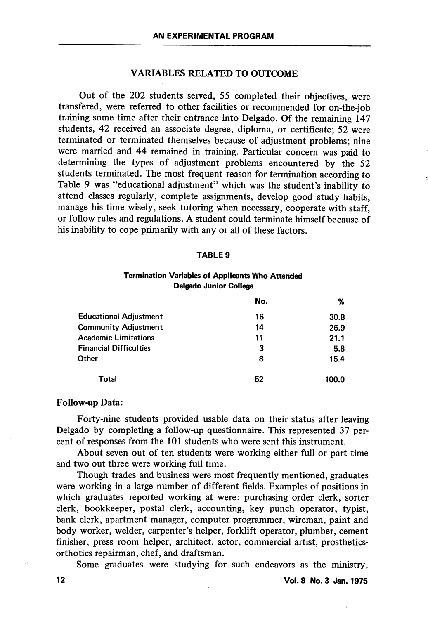## VARIABLES RELATED TO OUTCOME

Out of the 202 students served, 55 completed their objectives, were transfered, were referred to other facilities or recommended for on-the-job training some time after their entrance into Delgado. Of the remaining 147 students, 42 received an associate degree, diploma, or certificate; 52 were terminated or terminated themselves because of adjustment problems; nine were married and 44 remained in training. Particular concern was paid to determining the types of adjustment problems encountered by the 52 students terminated. The most frequent reason for termination according to Table 9 was "educational adjustment" which was the student's inability to attend classes regularly, complete assignments, develop good study habits, manage his time wisely, seek tutoring when necessary, cooperate with staff, or follow rules and regulations. A student could terminate himself because of his inability to cope primarily with any or all of these factors.

#### TABLE 9

## Termination Variables of Applicants Who Attended Delgado Junior College

|                               | No. | %     |
|-------------------------------|-----|-------|
| <b>Educational Adjustment</b> | 16  | 30.8  |
| <b>Community Adjustment</b>   | 14  | 26.9  |
| <b>Academic Limitations</b>   | 11  | 21.1  |
| <b>Financial Difficulties</b> | 3   | 5.8   |
| Other                         | 8   | 15.4  |
| Total                         | 52  | 100.0 |

#### Follow-up Data:

Forty-nine students provided usable data on their status after leaving Delgado by completing a follow-up questionnaire. This represented 37 per cent of responses from the 101 students who were sent this instrument.

About seven out of ten students were working either full or part time and two out three were working full time.

Though trades and business were most frequently mentioned, graduates were working in a large number of different fields. Examples of positions in which graduates reported working at were: purchasing order clerk, sorter clerk, bookkeeper, postal clerk, accounting, key punch operator, typist, bank clerk, apartment manager, computer programmer, wireman, paint and body worker, welder, carpenter's helper, forklift operator, plumber, cement finisher, press room helper, architect, actor, commercial artist, prostheticsorthotics repairman, chef, and draftsman.

Some graduates were studying for such endeavors as the ministry,